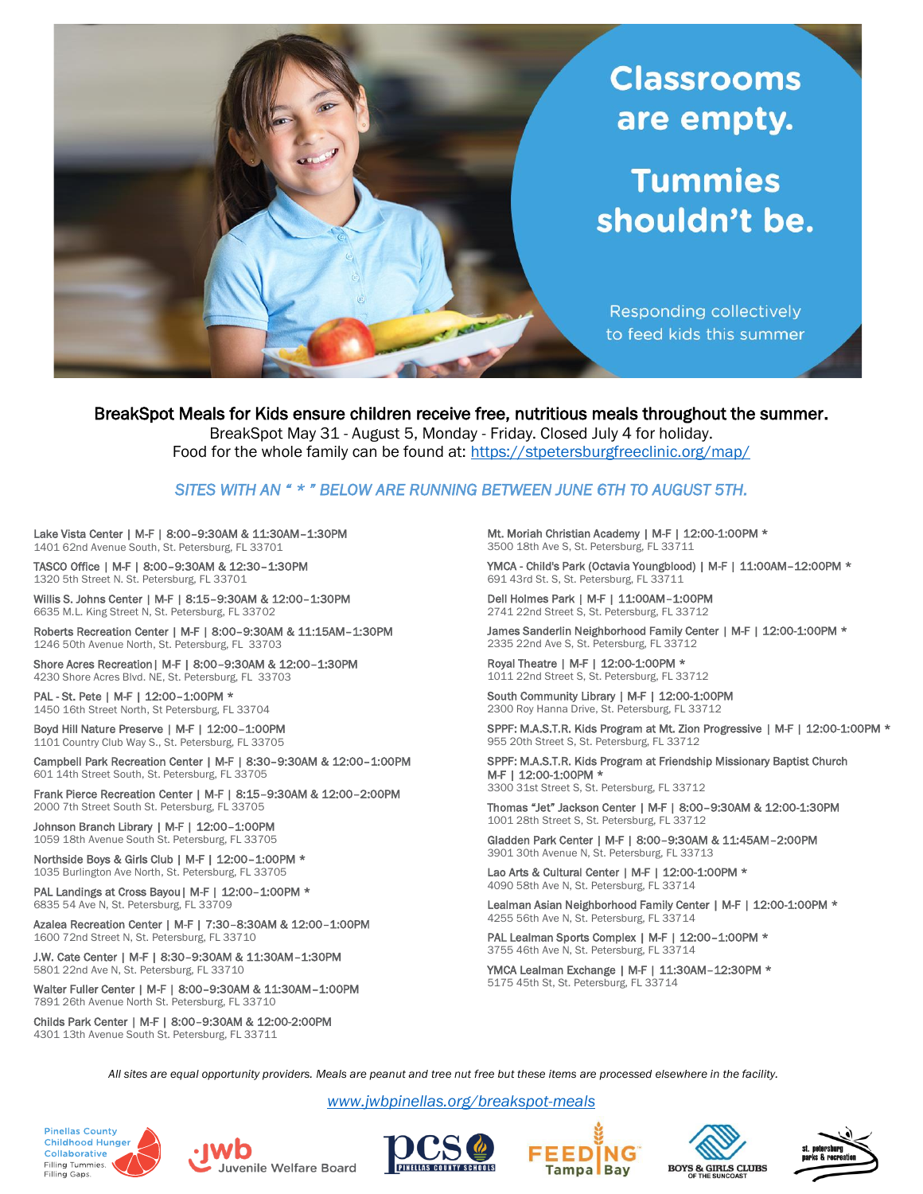

BreakSpot Meals for Kids ensure children receive free, nutritious meals throughout the summer. BreakSpot May 31 - August 5, Monday - Friday. Closed July 4 for holiday.

Food for the whole family can be found at:<https://stpetersburgfreeclinic.org/map/>

## *SITES WITH AN " \* " BELOW ARE RUNNING BETWEEN JUNE 6TH TO AUGUST 5TH.*

Lake Vista Center | M-F | 8:00–9:30AM & 11:30AM–1:30PM 1401 62nd Avenue South, St. Petersburg, FL 33701

TASCO Office | M-F | 8:00–9:30AM & 12:30–1:30PM 1320 5th Street N. St. Petersburg, FL 33701

Willis S. Johns Center | M-F | 8:15–9:30AM & 12:00–1:30PM 6635 M.L. King Street N, St. Petersburg, FL 33702

Roberts Recreation Center | M-F | 8:00–9:30AM & 11:15AM–1:30PM 1246 50th Avenue North, St. Petersburg, FL 33703

Shore Acres Recreation| M-F | 8:00–9:30AM & 12:00–1:30PM 4230 Shore Acres Blvd. NE, St. Petersburg, FL 33703

PAL - St. Pete | M-F | 12:00-1:00PM \* 1450 16th Street North, St Petersburg, FL 33704

Boyd Hill Nature Preserve | M-F | 12:00–1:00PM 1101 Country Club Way S., St. Petersburg, FL 33705

Campbell Park Recreation Center | M-F | 8:30–9:30AM & 12:00–1:00PM 601 14th Street South, St. Petersburg, FL 33705

Frank Pierce Recreation Center | M-F | 8:15–9:30AM & 12:00–2:00PM 2000 7th Street South St. Petersburg, FL 33705

Johnson Branch Library | M-F | 12:00-1:00PM 1059 18th Avenue South St. Petersburg, FL 33705

Northside Boys & Girls Club | M-F | 12:00-1:00PM \* 1035 Burlington Ave North, St. Petersburg, FL 33705

PAL Landings at Cross Bayou | M-F | 12:00-1:00PM \* 6835 54 Ave N, St. Petersburg, FL 33709

Azalea Recreation Center | M-F | 7:30–8:30AM & 12:00–1:00PM 1600 72nd Street N, St. Petersburg, FL 33710

J.W. Cate Center | M-F | 8:30–9:30AM & 11:30AM–1:30PM 5801 22nd Ave N, St. Petersburg, FL 33710

Walter Fuller Center | M-F | 8:00–9:30AM & 11:30AM–1:00PM 7891 26th Avenue North St. Petersburg, FL 33710

Childs Park Center | M-F | 8:00–9:30AM & 12:00-2:00PM 4301 13th Avenue South St. Petersburg, FL 33711

Mt. Moriah Christian Academy | M-F | 12:00-1:00PM \* 3500 18th Ave S, St. Petersburg, FL 33711

YMCA - Child's Park (Octavia Youngblood) | M-F | 11:00AM-12:00PM \* 691 43rd St. S, St. Petersburg, FL 33711

Dell Holmes Park | M-F | 11:00AM–1:00PM 2741 22nd Street S, St. Petersburg, FL 33712

James Sanderlin Neighborhood Family Center | M-F | 12:00-1:00PM \* 2335 22nd Ave S, St. Petersburg, FL 33712

Royal Theatre | M-F | 12:00-1:00PM \* 1011 22nd Street S, St. Petersburg, FL 33712

South Community Library | M-F | 12:00-1:00PM 2300 Roy Hanna Drive, St. Petersburg, FL 33712

SPPF: M.A.S.T.R. Kids Program at Mt. Zion Progressive | M-F | 12:00-1:00PM \* 955 20th Street S, St. Petersburg, FL 33712

SPPF: M.A.S.T.R. Kids Program at Friendship Missionary Baptist Church M-F | 12:00-1:00PM \* 3300 31st Street S, St. Petersburg, FL 33712

Thomas "Jet" Jackson Center | M-F | 8:00–9:30AM & 12:00-1:30PM 1001 28th Street S, St. Petersburg, FL 33712

Gladden Park Center | M-F | 8:00–9:30AM & 11:45AM–2:00PM 3901 30th Avenue N, St. Petersburg, FL 33713

Lao Arts & Cultural Center | M-F | 12:00-1:00PM \* 4090 58th Ave N, St. Petersburg, FL 33714

Lealman Asian Neighborhood Family Center | M-F | 12:00-1:00PM \* 4255 56th Ave N, St. Petersburg, FL 33714

PAL Lealman Sports Complex | M-F | 12:00-1:00PM \* 3755 46th Ave N, St. Petersburg, FL 33714

YMCA Lealman Exchange | M-F | 11:30AM–12:30PM \* 5175 45th St, St. Petersburg, FL 33714

*All sites are equal opportunity providers. Meals are peanut and tree nut free but these items are processed elsewhere in the facility.*

*[www.jwbpinellas.org/breakspot-meals](http://www.jwbpinellas.org/breakspot-meals)*